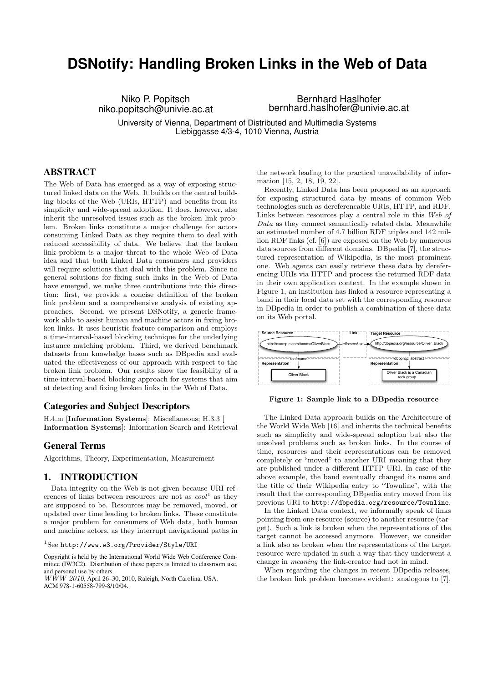# **DSNotify: Handling Broken Links in the Web of Data**

Niko P. Popitsch niko.popitsch@univie.ac.at

Bernhard Haslhofer bernhard.haslhofer@univie.ac.at

University of Vienna, Department of Distributed and Multimedia Systems Liebiggasse 4/3-4, 1010 Vienna, Austria

## ABSTRACT

The Web of Data has emerged as a way of exposing structured linked data on the Web. It builds on the central building blocks of the Web (URIs, HTTP) and benefits from its simplicity and wide-spread adoption. It does, however, also inherit the unresolved issues such as the broken link problem. Broken links constitute a major challenge for actors consuming Linked Data as they require them to deal with reduced accessibility of data. We believe that the broken link problem is a major threat to the whole Web of Data idea and that both Linked Data consumers and providers will require solutions that deal with this problem. Since no general solutions for fixing such links in the Web of Data have emerged, we make three contributions into this direction: first, we provide a concise definition of the broken link problem and a comprehensive analysis of existing approaches. Second, we present DSNotify, a generic framework able to assist human and machine actors in fixing broken links. It uses heuristic feature comparison and employs a time-interval-based blocking technique for the underlying instance matching problem. Third, we derived benchmark datasets from knowledge bases such as DBpedia and evaluated the effectiveness of our approach with respect to the broken link problem. Our results show the feasibility of a time-interval-based blocking approach for systems that aim at detecting and fixing broken links in the Web of Data.

## Categories and Subject Descriptors

H.4.m [Information Systems]: Miscellaneous; H.3.3 [ Information Systems]: Information Search and Retrieval

#### General Terms

Algorithms, Theory, Experimentation, Measurement

### 1. INTRODUCTION

Data integrity on the Web is not given because URI references of links between resources are not as  $\cosh^1$  as they are supposed to be. Resources may be removed, moved, or updated over time leading to broken links. These constitute a major problem for consumers of Web data, both human and machine actors, as they interrupt navigational paths in the network leading to the practical unavailability of information [15, 2, 18, 19, 22].

Recently, Linked Data has been proposed as an approach for exposing structured data by means of common Web technologies such as dereferencable URIs, HTTP, and RDF. Links between resources play a central role in this Web of Data as they connect semantically related data. Meanwhile an estimated number of 4.7 billion RDF triples and 142 million RDF links (cf. [6]) are exposed on the Web by numerous data sources from different domains. DBpedia [7], the structured representation of Wikipedia, is the most prominent one. Web agents can easily retrieve these data by dereferencing URIs via HTTP and process the returned RDF data in their own application context. In the example shown in Figure 1, an institution has linked a resource representing a band in their local data set with the corresponding resource in DBpedia in order to publish a combination of these data on its Web portal.



Figure 1: Sample link to a DBpedia resource

The Linked Data approach builds on the Architecture of the World Wide Web [16] and inherits the technical benefits such as simplicity and wide-spread adoption but also the unsolved problems such as broken links. In the course of time, resources and their representations can be removed completely or "moved" to another URI meaning that they are published under a different HTTP URI. In case of the above example, the band eventually changed its name and the title of their Wikipedia entry to "Townline", with the result that the corresponding DBpedia entry moved from its previous URI to http://dbpedia.org/resource/Townline.

In the Linked Data context, we informally speak of links pointing from one resource (source) to another resource (target). Such a link is broken when the representations of the target cannot be accessed anymore. However, we consider a link also as broken when the representations of the target resource were updated in such a way that they underwent a change in meaning the link-creator had not in mind.

When regarding the changes in recent DBpedia releases, the broken link problem becomes evident: analogous to [7],

 $^1\rm{See}$ http://www.w3.org/Provider/Style/URI

Copyright is held by the International World Wide Web Conference Committee (IW3C2). Distribution of these papers is limited to classroom use, and personal use by others.

 $W\hat{W}W$  2010, April 26-30, 2010, Raleigh, North Carolina, USA. ACM 978-1-60558-799-8/10/04.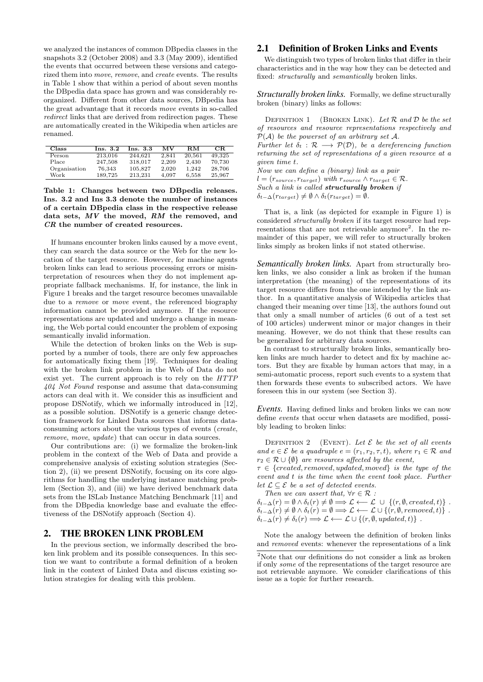we analyzed the instances of common DBpedia classes in the snapshots 3.2 (October 2008) and 3.3 (May 2009), identified the events that occurred between these versions and categorized them into move, remove, and create events. The results in Table 1 show that within a period of about seven months the DBpedia data space has grown and was considerably reorganized. Different from other data sources, DBpedia has the great advantage that it records move events in so-called redirect links that are derived from redirection pages. These are automatically created in the Wikipedia when articles are renamed.

| Class        | Ins. $3.2$ | Ins. $3.3$ | MV    | RM.    | CR.    |
|--------------|------------|------------|-------|--------|--------|
| Person       | 213.016    | 244.621    | 2.841 | 20.561 | 49.325 |
| Place        | 247,508    | 318,017    | 2.209 | 2,430  | 70,730 |
| Organisation | 76,343     | 105,827    | 2,020 | 1.242  | 28,706 |
| Work         | 189.725    | 213.231    | 4.097 | 6.558  | 25,967 |

Table 1: Changes between two DBpedia releases. Ins. 3.2 and Ins 3.3 denote the number of instances of a certain DBpedia class in the respective release data sets, MV the moved, RM the removed, and CR the number of created resources.

If humans encounter broken links caused by a move event, they can search the data source or the Web for the new location of the target resource. However, for machine agents broken links can lead to serious processing errors or misinterpretation of resources when they do not implement appropriate fallback mechanisms. If, for instance, the link in Figure 1 breaks and the target resource becomes unavailable due to a remove or move event, the referenced biography information cannot be provided anymore. If the resource representations are updated and undergo a change in meaning, the Web portal could encounter the problem of exposing semantically invalid information.

While the detection of broken links on the Web is supported by a number of tools, there are only few approaches for automatically fixing them [19]. Techniques for dealing with the broken link problem in the Web of Data do not exist yet. The current approach is to rely on the HTTP 404 Not Found response and assume that data-consuming actors can deal with it. We consider this as insufficient and propose DSNotify, which we informally introduced in [12], as a possible solution. DSNotify is a generic change detection framework for Linked Data sources that informs dataconsuming actors about the various types of events (create, remove, move, update) that can occur in data sources.

Our contributions are: (i) we formalize the broken-link problem in the context of the Web of Data and provide a comprehensive analysis of existing solution strategies (Section 2), (ii) we present DSNotify, focusing on its core algorithms for handling the underlying instance matching problem (Section 3), and (iii) we have derived benchmark data sets from the ISLab Instance Matching Benchmark [11] and from the DBpedia knowledge base and evaluate the effectiveness of the DSNotify approach (Section 4).

#### 2. THE BROKEN LINK PROBLEM

In the previous section, we informally described the broken link problem and its possible consequences. In this section we want to contribute a formal definition of a broken link in the context of Linked Data and discuss existing solution strategies for dealing with this problem.

## 2.1 Definition of Broken Links and Events

We distinguish two types of broken links that differ in their characteristics and in the way how they can be detected and fixed: structurally and semantically broken links.

*Structurally broken links.* Formally, we define structurally broken (binary) links as follows:

DEFINITION 1 (BROKEN LINK). Let  $\mathcal R$  and  $\mathcal D$  be the set of resources and resource representations respectively and  $\mathcal{P}(\mathcal{A})$  be the powerset of an arbitrary set  $\mathcal{A}$ . Further let  $\delta_t : \mathcal{R} \longrightarrow \mathcal{P}(\mathcal{D})$ , be a dereferencing function returning the set of representations of a given resource at a given time t. Now we can define a (binary) link as a pair  $l = (r_{source}, r_{target})$  with  $r_{source} \wedge r_{target} \in \mathcal{R}$ . Such a link is called structurally broken if

 $\delta_{t-\Delta}(r_{target}) \neq \emptyset \wedge \delta_t(r_{target}) = \emptyset.$ 

That is, a link (as depicted for example in Figure 1) is considered structurally broken if its target resource had representations that are not retrievable anymore<sup>2</sup>. In the remainder of this paper, we will refer to structurally broken links simply as broken links if not stated otherwise.

*Semantically broken links.* Apart from structurally broken links, we also consider a link as broken if the human interpretation (the meaning) of the representations of its target resource differs from the one intended by the link author. In a quantitative analysis of Wikipedia articles that changed their meaning over time [13], the authors found out that only a small number of articles (6 out of a test set of 100 articles) underwent minor or major changes in their meaning. However, we do not think that these results can be generalized for arbitrary data sources.

In contrast to structurally broken links, semantically broken links are much harder to detect and fix by machine actors. But they are fixable by human actors that may, in a semi-automatic process, report such events to a system that then forwards these events to subscribed actors. We have foreseen this in our system (see Section 3).

*Events.* Having defined links and broken links we can now define events that occur when datasets are modified, possibly leading to broken links:

DEFINITION 2 (EVENT). Let  $\mathcal E$  be the set of all events and  $e \in \mathcal{E}$  be a quadruple  $e = (r_1, r_2, \tau, t)$ , where  $r_1 \in \mathcal{R}$  and  $r_2 \in \mathcal{R} \cup \{\emptyset\}$  are resources affected by the event,

 $\tau \in \{created, removed, updated, moved\}$  is the type of the event and t is the time when the event took place. Further let  $\mathcal{L} \subseteq \mathcal{E}$  be a set of detected events.

Then we can assert that,  $\forall r \in \mathcal{R}$ :  $\delta_{t-\Delta}(r) = \emptyset \wedge \delta_t(r) \neq \emptyset \Longrightarrow \mathcal{L} \longleftarrow \mathcal{L} \cup \{(r, \emptyset, created, t)\}$ .  $\delta_{t-\Delta}(r) \neq \emptyset \wedge \delta_t(r) = \emptyset \Longrightarrow \mathcal{L} \longleftarrow \mathcal{L} \cup \{(r, \emptyset, removed, t)\}$ .  $\delta_{t-\Delta}(r) \neq \delta_t(r) \Longrightarrow \mathcal{L} \longleftarrow \mathcal{L} \cup \{(r, \emptyset, updated, t)\}.$ 

Note the analogy between the definition of broken links and removed events: whenever the representations of a link

 $^{2}$  Note that our definitions do not consider a link as broken if only some of the representations of the target resource are not retrievable anymore. We consider clarifications of this issue as a topic for further research.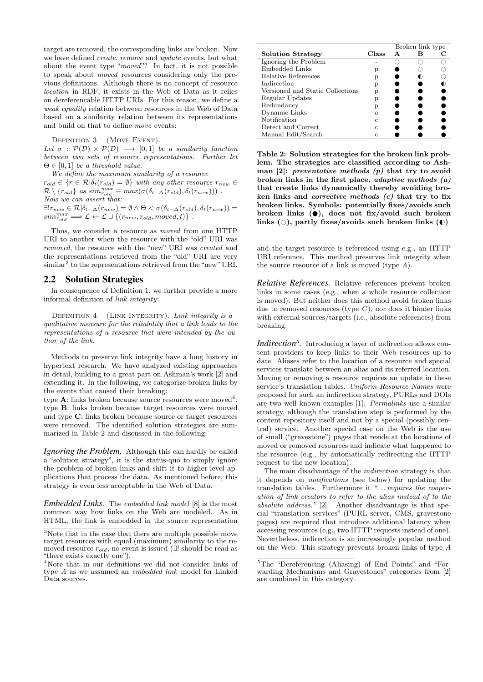target are removed, the corresponding links are broken. Now we have defined create, remove and update events, but what about the event type "moved"? In fact, it is not possible to speak about moved resources considering only the previous definitions. Although there is no concept of resource location in RDF, it exists in the Web of Data as it relies on dereferencable HTTP URIs. For this reason, we define a weak equality relation between resources in the Web of Data based on a similarity relation between its representations and build on that to define move events:

DEFINITION 3 (MOVE EVENT).

Let  $\sigma$ :  $\mathcal{P}(\mathcal{D}) \times \mathcal{P}(\mathcal{D}) \longrightarrow [0,1]$  be a similarity function between two sets of resource representations. Further let  $\Theta \in [0, 1]$  be a threshold value.

We define the maximum similarity of a resource  $r_{old} \in \{r \in \mathcal{R} | \delta_t(r_{old}) = \emptyset\}$  with any other resource  $r_{new} \in$  $\mathcal{R}\setminus\{r_{old}\}$  as  $sim_{r_{old}}^{max} \equiv max(\sigma(\delta_{t-\Delta}(r_{old}),\delta_t(r_{new})))$ . Now we can assert that:  $\exists! r_{new} \in \mathcal{R} | \delta_{t-\Delta}(r_{new}) = \emptyset \wedge \Theta < \sigma(\delta_{t-\Delta}(r_{old}), \delta_t(r_{new})) =$  $sim_{\textit{rold}}^{\textit{max}} \Longrightarrow \mathcal{L} \leftarrow \mathcal{L} \cup \{(r_{\textit{new}}, r_{\textit{old}}, \textit{moved}, t)\}$ .

Thus, we consider a resource as moved from one HTTP URI to another when the resource with the "old" URI was removed, the resource with the "new" URI was created and the representations retrieved from the "old" URI are very similar<sup>3</sup> to the representations retrieved from the "new" URI.

#### 2.2 Solution Strategies

In consequence of Definition 1, we further provide a more informal definition of link integrity:

DEFINITION  $4$  (LINK INTEGRITY). Link integrity is a qualitative measure for the reliability that a link leads to the representations of a resource that were intended by the author of the link.

Methods to preserve link integrity have a long history in hypertext research. We have analyzed existing approaches in detail, building to a great part on Ashman's work [2] and extending it. In the following, we categorize broken links by the events that caused their breaking:

type  $\mathbf{A}$ : links broken because source resources were moved<sup>4</sup> , type B: links broken because target resources were moved and type C: links broken because source or target resources were removed. The identified solution strategies are summarized in Table 2 and discussed in the following:

*Ignoring the Problem.* Although this can hardly be called a "solution strategy", it is the status-quo to simply ignore the problem of broken links and shift it to higher-level applications that process the data. As mentioned before, this strategy is even less acceptable in the Web of Data.

*Embedded Links.* The embedded link model [8] is the most common way how links on the Web are modeled. As in HTML, the link is embedded in the source representation

|                                  |       | Broken link type |  |  |
|----------------------------------|-------|------------------|--|--|
| <b>Solution Strategy</b>         | Class | A                |  |  |
| Ignoring the Problem             |       |                  |  |  |
| Embedded Links                   | р     |                  |  |  |
| Relative References              | р     |                  |  |  |
| Indirection                      | р     |                  |  |  |
| Versioned and Static Collections | р     |                  |  |  |
| Regular Updates                  | р     |                  |  |  |
| Redundancy                       | р     |                  |  |  |
| Dynamic Links                    | a.    |                  |  |  |
| Notification                     | с     |                  |  |  |
| Detect and Correct               | C     |                  |  |  |
| Manual Edit/Search               | C     |                  |  |  |

Table 2: Solution strategies for the broken link problem. The strategies are classified according to Ashman [2]: preventative methods (p) that try to avoid broken links in the first place, adaptive methods (a) that create links dynamically thereby avoiding broken links and corrective methods (c) that try to fix broken links. Symbols: potentially fixes/avoids such broken links  $\Theta$ , does not fix/avoid such broken links ( $\circ$ ), partly fixes/avoids such broken links ( $\circ$ )

and the target resource is referenced using e.g., an HTTP URI reference. This method preserves link integrity when the source resource of a link is moved (type  $A$ ).

*Relative References.* Relative references prevent broken links in some cases (e.g., when a whole resource collection is moved). But neither does this method avoid broken links due to removed resources (type  $C$ ), nor does it hinder links with external sources/targets (i.e., absolute references) from breaking.

Indirection<sup>5</sup>. Introducing a layer of indirection allows content providers to keep links to their Web resources up to date. Aliases refer to the location of a resource and special services translate between an alias and its referred location. Moving or removing a resource requires an update in these service's translation tables. Uniform Resource Names were proposed for such an indirection strategy, PURLs and DOIs are two well known examples [1]. Permalinks use a similar strategy, although the translation step is performed by the content repository itself and not by a special (possibly central) service. Another special case on the Web is the use of small ("gravestone") pages that reside at the locations of moved or removed resources and indicate what happened to the resource (e.g., by automatically redirecting the HTTP request to the new location).

The main disadvantage of the indirection strategy is that it depends on notifications (see below) for updating the translation tables. Furthermore it "... requires the cooperation of link creators to refer to the alias instead of to the absolute address." [2]. Another disadvantage is that special "translation services" (PURL server, CMS, gravestone pages) are required that introduce additional latency when accessing resources (e.g., two HTTP requests instead of one). Nevertheless, indirection is an increasingly popular method on the Web. This strategy prevents broken links of type A

<sup>3</sup>Note that in the case that there are multiple possible move target resources with equal (maximum) similarity to the removed resource  $r_{old}$ , no event is issued (∃! should be read as "there exists exactly one").

<sup>4</sup>Note that in our definitions we did not consider links of type A as we assumed an embedded link model for Linked Data sources.

<sup>5</sup>The "Dereferencing (Aliasing) of End Points" and "Forwarding Mechanisms and Gravestones" categories from [2] are combined in this category.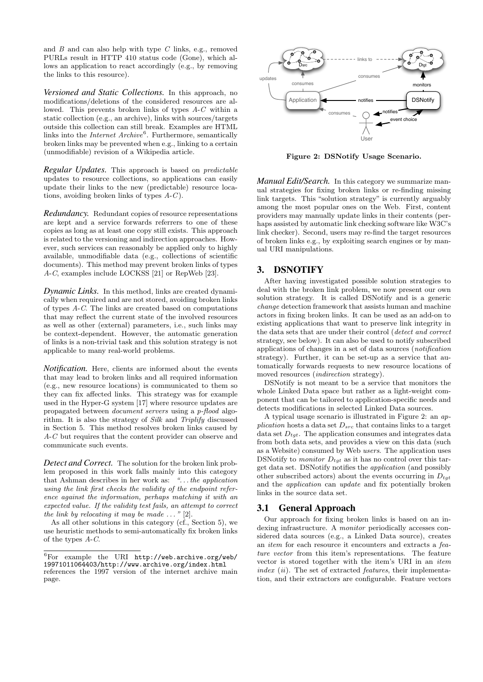and  $B$  and can also help with type  $C$  links, e.g., removed PURLs result in HTTP 410 status code (Gone), which allows an application to react accordingly (e.g., by removing the links to this resource).

*Versioned and Static Collections.* In this approach, no modifications/deletions of the considered resources are allowed. This prevents broken links of types A-C within a static collection (e.g., an archive), links with sources/targets outside this collection can still break. Examples are HTML links into the *Internet Archive*<sup>6</sup>. Furthermore, semantically broken links may be prevented when e.g., linking to a certain (unmodifiable) revision of a Wikipedia article.

*Regular Updates.* This approach is based on predictable updates to resource collections, so applications can easily update their links to the new (predictable) resource locations, avoiding broken links of types A-C).

*Redundancy.* Redundant copies of resource representations are kept and a service forwards referrers to one of these copies as long as at least one copy still exists. This approach is related to the versioning and indirection approaches. However, such services can reasonably be applied only to highly available, unmodifiable data (e.g., collections of scientific documents). This method may prevent broken links of types A-C, examples include LOCKSS [21] or RepWeb [23].

*Dynamic Links.* In this method, links are created dynamically when required and are not stored, avoiding broken links of types A-C. The links are created based on computations that may reflect the current state of the involved resources as well as other (external) parameters, i.e., such links may be context-dependent. However, the automatic generation of links is a non-trivial task and this solution strategy is not applicable to many real-world problems.

*Notification.* Here, clients are informed about the events that may lead to broken links and all required information (e.g., new resource locations) is communicated to them so they can fix affected links. This strategy was for example used in the Hyper-G system [17] where resource updates are propagated between document servers using a p-flood algorithm. It is also the strategy of Silk and Triplify discussed in Section 5. This method resolves broken links caused by A-C but requires that the content provider can observe and communicate such events.

*Detect and Correct.* The solution for the broken link problem proposed in this work falls mainly into this category that Ashman describes in her work as: ". . . the application using the link first checks the validity of the endpoint reference against the information, perhaps matching it with an expected value. If the validity test fails, an attempt to correct the link by relocating it may be made  $\ldots$  " [2].

As all other solutions in this category (cf., Section 5), we use heuristic methods to semi-automatically fix broken links of the types A-C.



Figure 2: DSNotify Usage Scenario.

*Manual Edit/Search.* In this category we summarize manual strategies for fixing broken links or re-finding missing link targets. This "solution strategy" is currently arguably among the most popular ones on the Web. First, content providers may manually update links in their contents (perhaps assisted by automatic link checking software like W3C's link checker). Second, users may re-find the target resources of broken links e.g., by exploiting search engines or by manual URI manipulations.

# 3. DSNOTIFY

After having investigated possible solution strategies to deal with the broken link problem, we now present our own solution strategy. It is called DSNotify and is a generic change detection framework that assists human and machine actors in fixing broken links. It can be used as an add-on to existing applications that want to preserve link integrity in the data sets that are under their control (detect and correct strategy, see below). It can also be used to notify subscribed applications of changes in a set of data sources (notification strategy). Further, it can be set-up as a service that automatically forwards requests to new resource locations of moved resources *(indirection strategy)*.

DSNotify is not meant to be a service that monitors the whole Linked Data space but rather as a light-weight component that can be tailored to application-specific needs and detects modifications in selected Linked Data sources.

A typical usage scenario is illustrated in Figure 2: an application hosts a data set  $D_{src}$  that contains links to a target data set  $D_{tot}$ . The application consumes and integrates data from both data sets, and provides a view on this data (such as a Website) consumed by Web users. The application uses DSNotify to *monitor*  $D_{tot}$  as it has no control over this target data set. DSNotify notifies the application (and possibly other subscribed actors) about the events occurring in  $D_{tqt}$ and the application can update and fix potentially broken links in the source data set.

# 3.1 General Approach

Our approach for fixing broken links is based on an indexing infrastructure. A *monitor* periodically accesses considered data sources (e.g., a Linked Data source), creates an item for each resource it encounters and extracts a feature vector from this item's representations. The feature vector is stored together with the item's URI in an item index  $(ii)$ . The set of extracted *features*, their implementation, and their extractors are configurable. Feature vectors

 ${}^{6}$ For example the URI http://web.archive.org/web/ 19971011064403/http://www.archive.org/index.html references the 1997 version of the internet archive main page.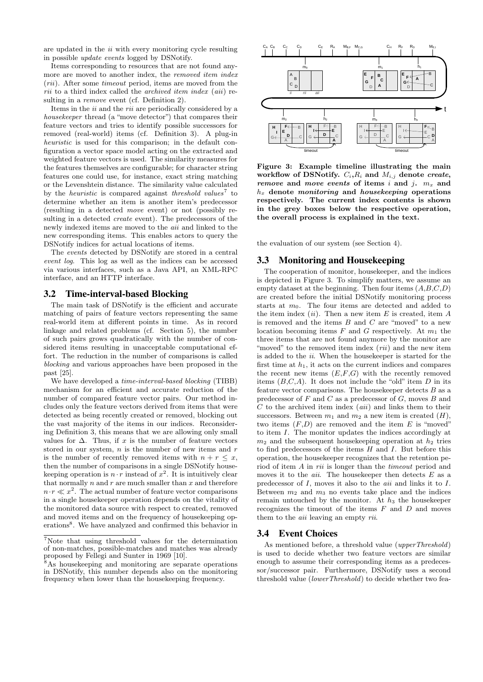are updated in the ii with every monitoring cycle resulting in possible update events logged by DSNotify.

Items corresponding to resources that are not found anymore are moved to another index, the removed item index (rii). After some timeout period, items are moved from the  $rii$  to a third index called the *archived item index* (*aii*) resulting in a remove event (cf. Definition 2).

Items in the ii and the rii are periodically considered by a housekeeper thread (a "move detector") that compares their feature vectors and tries to identify possible successors for removed (real-world) items (cf. Definition 3). A plug-in heuristic is used for this comparison; in the default configuration a vector space model acting on the extracted and weighted feature vectors is used. The similarity measures for the features themselves are configurable; for character string features one could use, for instance, exact string matching or the Levenshtein distance. The similarity value calculated by the *heuristic* is compared against *threshold values*<sup>7</sup> to determine whether an item is another item's predecessor (resulting in a detected move event) or not (possibly resulting in a detected create event). The predecessors of the newly indexed items are moved to the aii and linked to the new corresponding items. This enables actors to query the DSNotify indices for actual locations of items.

The events detected by DSNotify are stored in a central event log. This log as well as the indices can be accessed via various interfaces, such as a Java API, an XML-RPC interface, and an HTTP interface.

#### 3.2 Time-interval-based Blocking

The main task of DSNotify is the efficient and accurate matching of pairs of feature vectors representing the same real-world item at different points in time. As in record linkage and related problems (cf. Section 5), the number of such pairs grows quadratically with the number of considered items resulting in unacceptable computational effort. The reduction in the number of comparisons is called blocking and various approaches have been proposed in the past [25].

We have developed a time-interval-based blocking (TIBB) mechanism for an efficient and accurate reduction of the number of compared feature vector pairs. Our method includes only the feature vectors derived from items that were detected as being recently created or removed, blocking out the vast majority of the items in our indices. Reconsidering Definition 3, this means that we are allowing only small values for  $\Delta$ . Thus, if x is the number of feature vectors stored in our system,  $n$  is the number of new items and  $r$ is the number of recently removed items with  $n + r \leq x$ , then the number of comparisons in a single DSNotify housekeeping operation is  $n \cdot r$  instead of  $x^2$ . It is intuitively clear that normally  $n$  and  $r$  are much smaller than  $x$  and therefore  $n \cdot r \ll x^2$ . The actual number of feature vector comparisons in a single housekeeper operation depends on the vitality of the monitored data source with respect to created, removed and moved items and on the frequency of housekeeping operations<sup>8</sup>. We have analyzed and confirmed this behavior in



Figure 3: Example timeline illustrating the main workflow of DSNotify.  $C_i, R_i$  and  $M_{i,j}$  denote create, remove and move events of items i and j.  $m_x$  and  $h_x$  denote *monitoring* and *housekeeping* operations respectively. The current index contents is shown in the grey boxes below the respective operation, the overall process is explained in the text.

the evaluation of our system (see Section 4).

## 3.3 Monitoring and Housekeeping

The cooperation of monitor, housekeeper, and the indices is depicted in Figure 3. To simplify matters, we assume an empty dataset at the beginning. Then four items  $(A,B,C,D)$ are created before the initial DSNotify monitoring process starts at  $m_0$ . The four items are detected and added to the item index  $(ii)$ . Then a new item E is created, item A is removed and the items  $B$  and  $C$  are "moved" to a new location becoming items  $F$  and  $G$  respectively. At  $m_1$  the three items that are not found anymore by the monitor are "moved" to the removed item index  $(rii)$  and the new item is added to the ii. When the housekeeper is started for the first time at  $h_1$ , it acts on the current indices and compares the recent new items  $(E, F, G)$  with the recently removed items  $(B,C,A)$ . It does not include the "old" item D in its feature vector comparisons. The housekeeper detects  $B$  as a predecessor of  $F$  and  $C$  as a predecessor of  $G$ , moves  $B$  and  $C$  to the archived item index  $(aiii)$  and links them to their successors. Between  $m_1$  and  $m_2$  a new item is created  $(H)$ , two items  $(F,D)$  are removed and the item E is "moved" to item I. The monitor updates the indices accordingly at  $m_2$  and the subsequent housekeeping operation at  $h_2$  tries to find predecessors of the items  $H$  and  $I$ . But before this operation, the housekeeper recognizes that the retention period of item A in rii is longer than the timeout period and moves it to the  $aii$ . The housekeeper then detects  $E$  as a predecessor of I, moves it also to the aii and links it to I. Between  $m_2$  and  $m_3$  no events take place and the indices remain untouched by the monitor. At  $h_3$  the housekeeper recognizes the timeout of the items  $F$  and  $D$  and moves them to the *aii* leaving an empty *rii*.

#### 3.4 Event Choices

As mentioned before, a threshold value (upperThreshold) is used to decide whether two feature vectors are similar enough to assume their corresponding items as a predecessor/successor pair. Furthermore, DSNotify uses a second threshold value (lowerThreshold) to decide whether two fea-

<sup>7</sup>Note that using threshold values for the determination of non-matches, possible-matches and matches was already proposed by Fellegi and Sunter in 1969 [10].

<sup>8</sup>As housekeeping and monitoring are separate operations in DSNotify, this number depends also on the monitoring frequency when lower than the housekeeping frequency.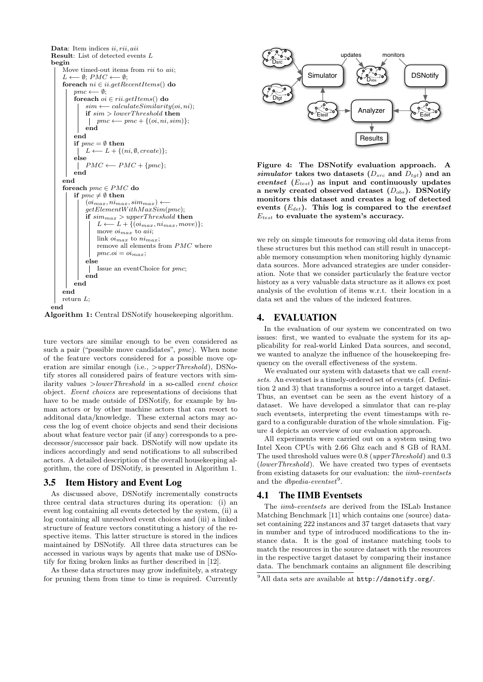



ture vectors are similar enough to be even considered as such a pair ("possible move candidates", pmc). When none of the feature vectors considered for a possible move operation are similar enough (i.e., >upperThreshold), DSNotify stores all considered pairs of feature vectors with similarity values >lowerThreshold in a so-called event choice object. Event choices are representations of decisions that have to be made outside of DSNotify, for example by human actors or by other machine actors that can resort to additonal data/knowledge. These external actors may access the log of event choice objects and send their decisions about what feature vector pair (if any) corresponds to a predecessor/successor pair back. DSNotify will now update its indices accordingly and send notifications to all subscribed actors. A detailed description of the overall housekeeping algorithm, the core of DSNotify, is presented in Algorithm 1.

#### 3.5 Item History and Event Log

As discussed above, DSNotify incrementally constructs three central data structures during its operation: (i) an event log containing all events detected by the system, (ii) a log containing all unresolved event choices and (iii) a linked structure of feature vectors constituting a history of the respective items. This latter structure is stored in the indices maintained by DSNotify. All three data structures can be accessed in various ways by agents that make use of DSNotify for fixing broken links as further described in [12].

As these data structures may grow indefinitely, a strategy for pruning them from time to time is required. Currently



Figure 4: The DSNotify evaluation approach. A simulator takes two datasets  $(D_{src}$  and  $D_{tot}$ ) and an eventset  $(E_{test})$  as input and continuously updates a newly created observed dataset  $(D_{obs})$ . DSNotify monitors this dataset and creates a log of detected events  $(E_{det})$ . This log is compared to the eventset  $E_{test}$  to evaluate the system's accuracy.

we rely on simple timeouts for removing old data items from these structures but this method can still result in unacceptable memory consumption when monitoring highly dynamic data sources. More advanced strategies are under consideration. Note that we consider particularly the feature vector history as a very valuable data structure as it allows ex post analysis of the evolution of items w.r.t. their location in a data set and the values of the indexed features.

#### 4. EVALUATION

In the evaluation of our system we concentrated on two issues: first, we wanted to evaluate the system for its applicability for real-world Linked Data sources, and second, we wanted to analyze the influence of the housekeeping frequency on the overall effectiveness of the system.

We evaluated our system with datasets that we call *event*sets. An eventset is a timely-ordered set of events (cf. Definition 2 and 3) that transforms a source into a target dataset. Thus, an eventset can be seen as the event history of a dataset. We have developed a simulator that can re-play such eventsets, interpreting the event timestamps with regard to a configurable duration of the whole simulation. Figure 4 depicts an overview of our evaluation approach.

All experiments were carried out on a system using two Intel Xeon CPUs with 2.66 Ghz each and 8 GB of RAM. The used threshold values were 0.8 (upperThreshold) and 0.3 (lowerThreshold). We have created two types of eventsets from existing datasets for our evaluation: the *iimb-eventsets* and the *dbpedia-eventset*<sup>9</sup>.

#### 4.1 The IIMB Eventsets

The iimb-eventsets are derived from the ISLab Instance Matching Benchmark [11] which contains one (source) dataset containing 222 instances and 37 target datasets that vary in number and type of introduced modifications to the instance data. It is the goal of instance matching tools to match the resources in the source dataset with the resources in the respective target dataset by comparing their instance data. The benchmark contains an alignment file describing

<sup>9</sup>All data sets are available at http://dsnotify.org/.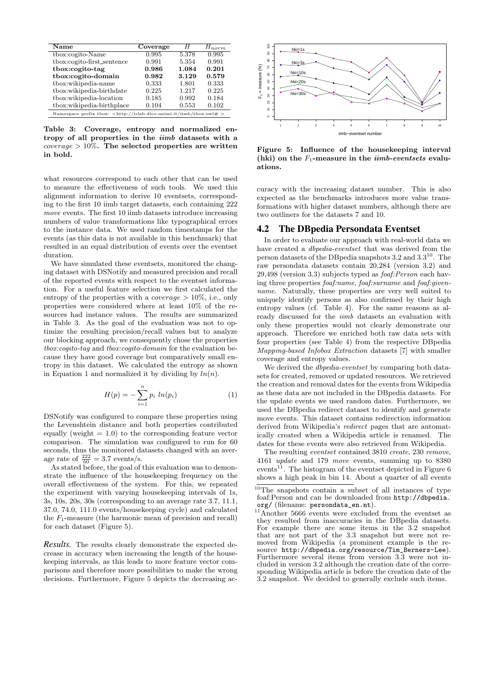| Name                                                                         | Coverage | H     | $H_{norm}$ |  |
|------------------------------------------------------------------------------|----------|-------|------------|--|
| tbox:cogito-Name                                                             | 0.995    | 5.378 | 0.995      |  |
| tbox:cogito-first_sentence                                                   | 0.991    | 5.354 | 0.991      |  |
| tbox:cogito-tag                                                              | 0.986    | 1.084 | 0.201      |  |
| tbox:cogito-domain                                                           | 0.982    | 3.129 | 0.579      |  |
| tbox:wikipedia-name                                                          | 0.333    | 1.801 | 0.333      |  |
| tbox:wikipedia-birthdate                                                     | 0.225    | 1.217 | 0.225      |  |
| tbox:wikipedia-location                                                      | 0.185    | 0.992 | 0.184      |  |
| tbox:wikipedia-birthplace                                                    | 0.104    | 0.553 | 0.102      |  |
| Namespace prefix tbox: $\langle$ http://islab.dico.unimi.it/iimb/tbox.owl# > |          |       |            |  |

Table 3: Coverage, entropy and normalized entropy of all properties in the iimb datasets with a  $coverage > 10\%$ . The selected properties are written in bold.

what resources correspond to each other that can be used to measure the effectiveness of such tools. We used this alignment information to derive 10 eventsets, corresponding to the first 10 iimb target datasets, each containing 222 move events. The first 10 iimb datasets introduce increasing numbers of value transformations like typographical errors to the instance data. We used random timestamps for the events (as this data is not available in this benchmark) that resulted in an equal distribution of events over the eventset duration.

We have simulated these eventsets, monitored the changing dataset with DSNotify and measured precision and recall of the reported events with respect to the eventset information. For a useful feature selection we first calculated the entropy of the properties with a *coverage*  $> 10\%$ , i.e., only properties were considered where at least 10% of the resources had instance values. The results are summarized in Table 3. As the goal of the evaluation was not to optimize the resulting precision/recall values but to analyze our blocking approach, we consequently chose the properties tbox:cogito-tag and tbox:cogito-domain for the evaluation because they have good coverage but comparatively small entropy in this dataset. We calculated the entropy as shown in Equation 1 and normalized it by dividing by  $ln(n)$ .

$$
H(p) = -\sum_{i=1}^{n} p_i \ ln(p_i) \tag{1}
$$

DSNotify was configured to compare these properties using the Levenshtein distance and both properties contributed equally (weight  $= 1.0$ ) to the corresponding feature vector comparison. The simulation was configured to run for 60 seconds, thus the monitored datasets changed with an average rate of  $\frac{222}{60} = 3.7$  events/s.

As stated before, the goal of this evaluation was to demonstrate the influence of the housekeeping frequency on the overall effectiveness of the system. For this, we repeated the experiment with varying housekeeping intervals of 1s, 3s, 10s, 20s, 30s (corresponding to an average rate 3.7, 11.1, 37.0, 74.0, 111.0 events/housekeeping cycle) and calculated the  $F_1$ -measure (the harmonic mean of precision and recall) for each dataset (Figure 5).

*Results.* The results clearly demonstrate the expected decrease in accuracy when increasing the length of the housekeeping intervals, as this leads to more feature vector comparisons and therefore more possibilities to make the wrong decisions. Furthermore, Figure 5 depicts the decreasing ac-



Figure 5: Influence of the housekeeping interval (hki) on the  $F_1$ -measure in the *iimb-eventsets* evaluations.

curacy with the increasing dataset number. This is also expected as the benchmarks introduces more value transformations with higher dataset numbers, although there are two outliners for the datasets 7 and 10.

#### 4.2 The DBpedia Persondata Eventset

In order to evaluate our approach with real-world data we have created a dbpedia-eventset that was derived from the person datasets of the DB pedia snapshots  $3.2$  and  $3.3^{10}$ . The raw persondata datasets contain 20,284 (version 3.2) and 29,498 (version 3.3) subjects typed as foaf:Person each having three properties foaf:name, foaf:surname and foaf:givenname. Naturally, these properties are very well suited to uniquely identify persons as also confirmed by their high entropy values (cf. Table 4). For the same reasons as already discussed for the *jimb* datasets an evaluation with only these properties would not clearly demonstrate our approach. Therefore we enriched both raw data sets with four properties (see Table 4) from the respective DBpedia Mapping-based Infobox Extraction datasets [7] with smaller coverage and entropy values.

We derived the *dbpedia-eventset* by comparing both datasets for created, removed or updated resources. We retrieved the creation and removal dates for the events from Wikipedia as these data are not included in the DBpedia datasets. For the update events we used random dates. Furthermore, we used the DBpedia redirect dataset to identify and generate move events. This dataset contains redirection information derived from Wikipedia's redirect pages that are automatically created when a Wikipedia article is renamed. The dates for these events were also retrieved from Wikipedia.

The resulting eventset contained 3810 create, 230 remove, 4161 update and 179 move events, summing up to 8380 events<sup>11</sup>. The histogram of the eventset depicted in Figure 6 shows a high peak in bin 14. About a quarter of all events

 $10$ <sup>10</sup>The snapshots contain a subset of all instances of type foaf:Person and can be downloaded from http://dbpedia. org/ (filename: persondata\_en.nt).

 $11$ Another 5666 events were excluded from the eventset as they resulted from inaccuracies in the DBpedia datasets. For example there are some items in the 3.2 snapshot that are not part of the 3.3 snapshot but were not removed from Wikipedia (a prominent example is the resource http://dbpedia.org/resource/Tim\_Berners-Lee). Furthermore several items from version 3.3 were not included in version 3.2 although the creation date of the corresponding Wikipedia article is before the creation date of the 3.2 snapshot. We decided to generally exclude such items.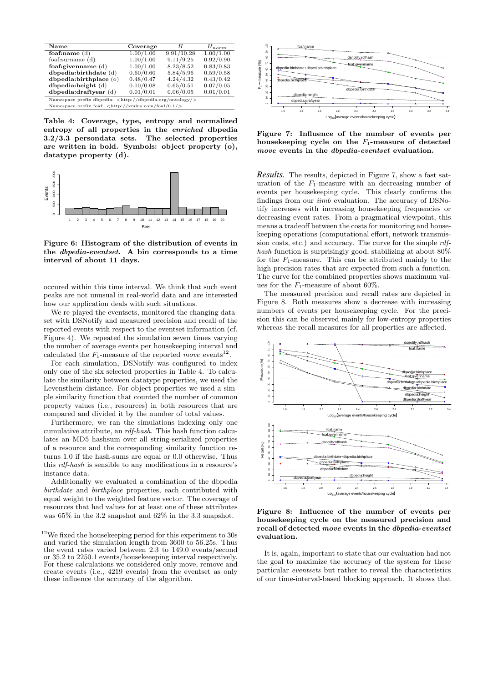| Name                                                                      | Coverage  | H          | $H_{norm}$ |  |
|---------------------------------------------------------------------------|-----------|------------|------------|--|
| foaf:name $(d)$                                                           | 1.00/1.00 | 9.91/10.28 | 1.00/1.00  |  |
| foaf:surname $(d)$                                                        | 1.00/1.00 | 9.11/9.25  | 0.92/0.90  |  |
| foaf:givenname $(d)$                                                      | 1.00/1.00 | 8.23/8.52  | 0.83/0.83  |  |
| $d$ bpedia:birthdate $(d)$                                                | 0.60/0.60 | 5.84/5.96  | 0.59/0.58  |  |
| dbpedia:birthplace (o)                                                    | 0.48/0.47 | 4.24/4.32  | 0.43/0.42  |  |
| $d$ bpedia:height $(d)$                                                   | 0.10/0.08 | 0.65/0.51  | 0.07/0.05  |  |
| $d$ bpedia: $dr$ aftyear $(d)$                                            | 0.01/0.01 | 0.06/0.05  | 0.01/0.01  |  |
| Namespace prefix dbpedia: <http: dbpedia.org="" ontology=""></http:>      |           |            |            |  |
| Namespace prefix foaf: $\langle \text{http://xmlns.com/foaf/0.1/}\rangle$ |           |            |            |  |

Table 4: Coverage, type, entropy and normalized entropy of all properties in the enriched dbpedia 3.2/3.3 persondata sets. The selected properties are written in bold. Symbols: object property (o), datatype property (d).



Figure 6: Histogram of the distribution of events in the dbpedia-eventset. A bin corresponds to a time interval of about 11 days.

occured within this time interval. We think that such event peaks are not unusual in real-world data and are interested how our application deals with such situations.

We re-played the eventsets, monitored the changing dataset with DSNotify and measured precision and recall of the reported events with respect to the eventset information (cf. Figure 4). We repeated the simulation seven times varying the number of average events per housekeeping interval and calculated the  $F_1$ -measure of the reported move events<sup>12</sup>.

For each simulation, DSNotify was configured to index only one of the six selected properties in Table 4. To calculate the similarity between datatype properties, we used the Levensthein distance. For object properties we used a simple similarity function that counted the number of common property values (i.e., resources) in both resources that are compared and divided it by the number of total values.

Furthermore, we ran the simulations indexing only one cumulative attribute, an rdf-hash. This hash function calculates an MD5 hashsum over all string-serialized properties of a resource and the corresponding similarity function returns 1.0 if the hash-sums are equal or 0.0 otherwise. Thus this rdf-hash is sensible to any modifications in a resource's instance data.

Additionally we evaluated a combination of the dbpedia birthdate and birthplace properties, each contributed with equal weight to the weighted feature vector. The coverage of resources that had values for at least one of these attributes was 65% in the 3.2 snapshot and 62% in the 3.3 snapshot.



Figure 7: Influence of the number of events per housekeeping cycle on the  $F_1$ -measure of detected move events in the dbpedia-eventset evaluation.

*Results.* The results, depicted in Figure 7, show a fast saturation of the  $F_1$ -measure with an decreasing number of events per housekeeping cycle. This clearly confirms the findings from our iimb evaluation. The accuracy of DSNotify increases with increasing housekeeping frequencies or decreasing event rates. From a pragmatical viewpoint, this means a tradeoff between the costs for monitoring and housekeeping operations (computational effort, network transmission costs, etc.) and accuracy. The curve for the simple rdfhash function is surprisingly good, stabilizing at about 80% for the  $F_1$ -measure. This can be attributed mainly to the high precision rates that are expected from such a function. The curve for the combined properties shows maximum values for the  $F_1$ -measure of about 60%.

The measured precision and recall rates are depicted in Figure 8. Both measures show a decrease with increasing numbers of events per housekeeping cycle. For the precision this can be observed mainly for low-entropy properties whereas the recall measures for all properties are affected.



Figure 8: Influence of the number of events per housekeeping cycle on the measured precision and recall of detected move events in the dbpedia-eventset evaluation.

It is, again, important to state that our evaluation had not the goal to maximize the accuracy of the system for these particular eventsets but rather to reveal the characteristics of our time-interval-based blocking approach. It shows that

 $12$ We fixed the housekeeping period for this experiment to 30s and varied the simulation length from 3600 to 56.25s. Thus the event rates varied between 2.3 to 149.0 events/second or 35.2 to 2250.1 events/housekeeeping interval respectively. For these calculations we considered only move, remove and create events (i.e., 4219 events) from the eventset as only these influence the accuracy of the algorithm.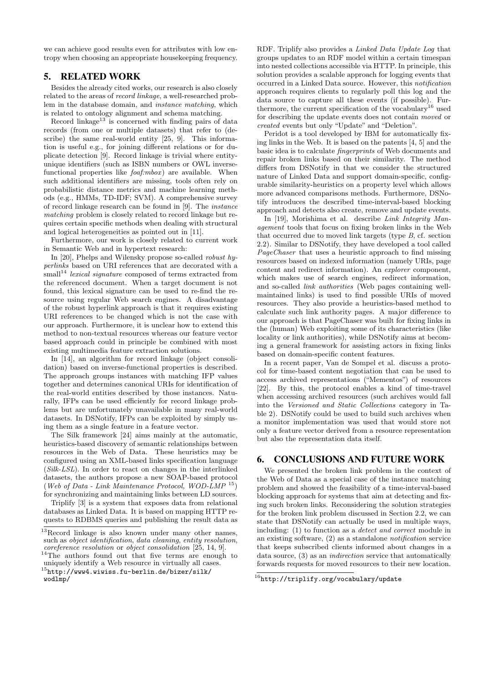we can achieve good results even for attributes with low entropy when choosing an appropriate housekeeping frequency.

## 5. RELATED WORK

Besides the already cited works, our research is also closely related to the areas of record linkage, a well-researched problem in the database domain, and instance matching, which is related to ontology alignment and schema matching.

Record linkage<sup>13</sup> is concerned with finding pairs of data records (from one or multiple datasets) that refer to (describe) the same real-world entity [25, 9]. This information is useful e.g., for joining different relations or for duplicate detection [9]. Record linkage is trivial where entityunique identifiers (such as ISBN numbers or OWL inversefunctional properties like  $foaf.mbox$  are available. When such additional identifiers are missing, tools often rely on probabilistic distance metrics and machine learning methods (e.g., HMMs, TD-IDF; SVM). A comprehensive survey of record linkage research can be found in [9]. The instance matching problem is closely related to record linkage but requires certain specific methods when dealing with structural and logical heterogeneities as pointed out in [11].

Furthermore, our work is closely related to current work in Semantic Web and in hypertext research:

In [20], Phelps and Wilensky propose so-called robust hyperlinks based on URI references that are decorated with a  $small<sup>14</sup> lexical signature composed of terms extracted from$ the referenced document. When a target document is not found, this lexical signature can be used to re-find the resource using regular Web search engines. A disadvantage of the robust hyperlink approach is that it requires existing URI references to be changed which is not the case with our approach. Furthermore, it is unclear how to extend this method to non-textual resources whereas our feature vector based approach could in principle be combined with most existing multimedia feature extraction solutions.

In [14], an algorithm for record linkage (object consolidation) based on inverse-functional properties is described. The approach groups instances with matching IFP values together and determines canonical URIs for identification of the real-world entities described by those instances. Naturally, IFPs can be used efficiently for record linkage problems but are unfortunately unavailable in many real-world datasets. In DSNotify, IFPs can be exploited by simply using them as a single feature in a feature vector.

The Silk framework [24] aims mainly at the automatic, heuristics-based discovery of semantic relationships between resources in the Web of Data. These heuristics may be configured using an XML-based links specification language (Silk-LSL). In order to react on changes in the interlinked datasets, the authors propose a new SOAP-based protocol (Web of Data - Link Maintenance Protocol, WOD-LMP <sup>15</sup>) for synchronizing and maintaining links between LD sources.

Triplify [3] is a system that exposes data from relational databases as Linked Data. It is based on mapping HTTP requests to RDBMS queries and publishing the result data as

RDF. Triplify also provides a Linked Data Update Log that groups updates to an RDF model within a certain timespan into nested collections accessible via HTTP. In principle, this solution provides a scalable approach for logging events that occurred in a Linked Data source. However, this notification approach requires clients to regularly poll this log and the data source to capture all these events (if possible). Furthermore, the current specification of the vocabulary<sup>16</sup> used for describing the update events does not contain moved or created events but only "Update" and "Deletion".

Peridot is a tool developed by IBM for automatically fixing links in the Web. It is based on the patents [4, 5] and the basic idea is to calculate fingerprints of Web documents and repair broken links based on their similarity. The method differs from DSNotify in that we consider the structured nature of Linked Data and support domain-specific, configurable similarity-heuristics on a property level which allows more advanced comparisons methods. Furthermore, DSNotify introduces the described time-interval-based blocking approach and detects also create, remove and update events.

In [19], Morishima et al. describe Link Integrity Management tools that focus on fixing broken links in the Web that occurred due to moved link targets (type B, cf. section 2.2). Similar to DSNotify, they have developed a tool called PageChaser that uses a heuristic approach to find missing resources based on indexed information (namely URIs, page content and redirect information). An explorer component, which makes use of search engines, redirect information, and so-called link authorities (Web pages containing wellmaintained links) is used to find possible URIs of moved resources. They also provide a heuristics-based method to calculate such link authority pages. A major difference to our approach is that PageChaser was built for fixing links in the (human) Web exploiting some of its characteristics (like locality or link authorities), while DSNotify aims at becoming a general framework for assisting actors in fixing links based on domain-specific content features.

In a recent paper, Van de Sompel et al. discuss a protocol for time-based content negotiation that can be used to access archived representations ("Mementos") of resources [22]. By this, the protocol enables a kind of time-travel when accessing archived resources (such archives would fall into the Versioned and Static Collections category in Table 2). DSNotify could be used to build such archives when a monitor implementation was used that would store not only a feature vector derived from a resource representation but also the representation data itself.

## 6. CONCLUSIONS AND FUTURE WORK

We presented the broken link problem in the context of the Web of Data as a special case of the instance matching problem and showed the feasibility of a time-interval-based blocking approach for systems that aim at detecting and fixing such broken links. Reconsidering the solution strategies for the broken link problem discussed in Section 2.2, we can state that DSNotify can actually be used in multiple ways, including: (1) to function as a detect and correct module in an existing software, (2) as a standalone notification service that keeps subscribed clients informed about changes in a data source, (3) as an indirection service that automatically forwards requests for moved resources to their new location.

 $13$ Record linkage is also known under many other names, such as object identification, data cleaning, entity resolution, coreference resolution or object consolidation [25, 14, 9].

<sup>&</sup>lt;sup>14</sup>The authors found out that five terms are enough to uniquely identify a Web resource in virtually all cases.

 $^{15}$ http://www4.wiwiss.fu-berlin.de/bizer/silk/ wodlmp/

 $^{16}$ http://triplify.org/vocabulary/update